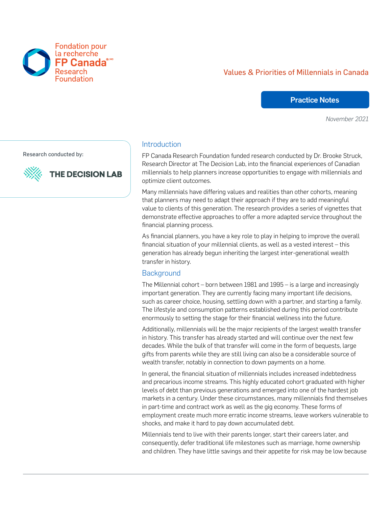# Values & Priorities of Millennials in Canada

### Practice Notes

*November 2021*

Research conducted by:



FP Canada®

**Fondation pour** la recherche

### Introduction

FP Canada Research Foundation funded research conducted by Dr. Brooke Struck, Research Director at The Decision Lab, into the financial experiences of Canadian millennials to help planners increase opportunities to engage with millennials and optimize client outcomes.

Many millennials have differing values and realities than other cohorts, meaning that planners may need to adapt their approach if they are to add meaningful value to clients of this generation. The research provides a series of vignettes that demonstrate effective approaches to offer a more adapted service throughout the financial planning process.

As financial planners, you have a key role to play in helping to improve the overall financial situation of your millennial clients, as well as a vested interest – this generation has already begun inheriting the largest inter-generational wealth transfer in history.

### **Background**

The Millennial cohort – born between 1981 and 1995 – is a large and increasingly important generation. They are currently facing many important life decisions, such as career choice, housing, settling down with a partner, and starting a family. The lifestyle and consumption patterns established during this period contribute enormously to setting the stage for their financial wellness into the future.

Additionally, millennials will be the major recipients of the largest wealth transfer in history. This transfer has already started and will continue over the next few decades. While the bulk of that transfer will come in the form of bequests, large gifts from parents while they are still living can also be a considerable source of wealth transfer, notably in connection to down payments on a home.

In general, the financial situation of millennials includes increased indebtedness and precarious income streams. This highly educated cohort graduated with higher levels of debt than previous generations and emerged into one of the hardest job markets in a century. Under these circumstances, many millennials find themselves in part-time and contract work as well as the gig economy. These forms of employment create much more erratic income streams, leave workers vulnerable to shocks, and make it hard to pay down accumulated debt.

Millennials tend to live with their parents longer, start their careers later, and consequently, defer traditional life milestones such as marriage, home ownership and children. They have little savings and their appetite for risk may be low because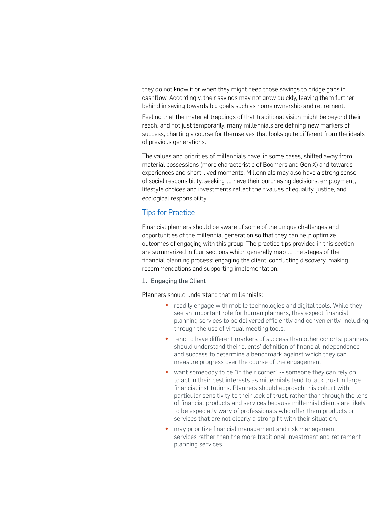they do not know if or when they might need those savings to bridge gaps in cashflow. Accordingly, their savings may not grow quickly, leaving them further behind in saving towards big goals such as home ownership and retirement.

Feeling that the material trappings of that traditional vision might be beyond their reach, and not just temporarily, many millennials are defining new markers of success, charting a course for themselves that looks quite different from the ideals of previous generations.

The values and priorities of millennials have, in some cases, shifted away from material possessions (more characteristic of Boomers and Gen X) and towards experiences and short-lived moments. Millennials may also have a strong sense of social responsibility, seeking to have their purchasing decisions, employment, lifestyle choices and investments reflect their values of equality, justice, and ecological responsibility.

## Tips for Practice

Financial planners should be aware of some of the unique challenges and opportunities of the millennial generation so that they can help optimize outcomes of engaging with this group. The practice tips provided in this section are summarized in four sections which generally map to the stages of the financial planning process: engaging the client, conducting discovery, making recommendations and supporting implementation.

#### 1. Engaging the Client

Planners should understand that millennials:

- readily engage with mobile technologies and digital tools. While they see an important role for human planners, they expect financial planning services to be delivered efficiently and conveniently, including through the use of virtual meeting tools.
- tend to have different markers of success than other cohorts; planners should understand their clients' definition of financial independence and success to determine a benchmark against which they can measure progress over the course of the engagement.
- want somebody to be "in their corner" -- someone they can rely on to act in their best interests as millennials tend to lack trust in large financial institutions. Planners should approach this cohort with particular sensitivity to their lack of trust, rather than through the lens of financial products and services because millennial clients are likely to be especially wary of professionals who offer them products or services that are not clearly a strong fit with their situation.
- may prioritize financial management and risk management services rather than the more traditional investment and retirement planning services.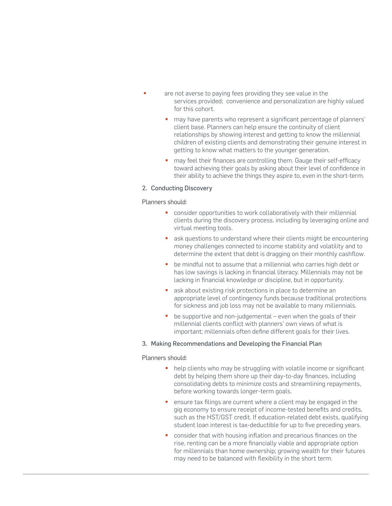- are not averse to paying fees providing they see value in the services provided; convenience and personalization are highly valued for this cohort.
	- may have parents who represent a significant percentage of planners' client base. Planners can help ensure the continuity of client relationships by showing interest and getting to know the millennial children of existing clients and demonstrating their genuine interest in getting to know what matters to the younger generation.
	- may feel their finances are controlling them. Gauge their self-efficacy toward achieving their goals by asking about their level of confidence in their ability to achieve the things they aspire to, even in the short-term.

#### 2. Conducting Discovery

#### Planners should:

- consider opportunities to work collaboratively with their millennial clients during the discovery process, including by leveraging online and virtual meeting tools.
- ask questions to understand where their clients might be encountering money challenges connected to income stability and volatility and to determine the extent that debt is dragging on their monthly cashflow.
- be mindful not to assume that a millennial who carries high debt or has low savings is lacking in financial literacy. Millennials may not be lacking in financial knowledge or discipline, but in opportunity.
- ask about existing risk protections in place to determine an appropriate level of contingency funds because traditional protections for sickness and job loss may not be available to many millennials.
- be supportive and non-judgemental even when the goals of their millennial clients conflict with planners' own views of what is important; millennials often define different goals for their lives.

#### 3. Making Recommendations and Developing the Financial Plan

#### Planners should:

- help clients who may be struggling with volatile income or significant debt by helping them shore up their day-to-day finances, including consolidating debts to minimize costs and streamlining repayments, before working towards longer-term goals.
- ensure tax filings are current where a client may be engaged in the gig economy to ensure receipt of income-tested benefits and credits, such as the HST/GST credit. If education-related debt exists, qualifying student loan interest is tax-deductible for up to five preceding years.
- consider that with housing inflation and precarious finances on the rise, renting can be a more financially viable and appropriate option for millennials than home ownership; growing wealth for their futures may need to be balanced with flexibility in the short term.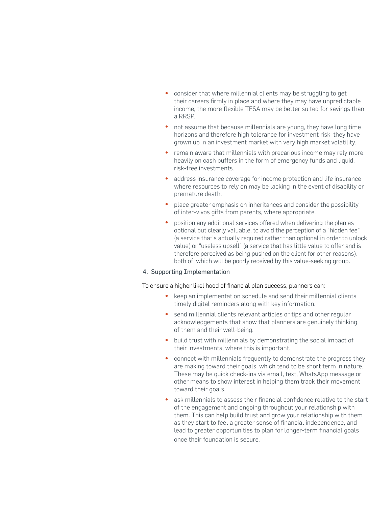- consider that where millennial clients may be struggling to get their careers firmly in place and where they may have unpredictable income, the more flexible TFSA may be better suited for savings than a RRSP.
- not assume that because millennials are young, they have long time horizons and therefore high tolerance for investment risk; they have grown up in an investment market with very high market volatility.
- remain aware that millennials with precarious income may rely more heavily on cash buffers in the form of emergency funds and liquid, risk-free investments.
- address insurance coverage for income protection and life insurance where resources to rely on may be lacking in the event of disability or premature death.
- place greater emphasis on inheritances and consider the possibility of inter-vivos gifts from parents, where appropriate.
- position any additional services offered when delivering the plan as optional but clearly valuable, to avoid the perception of a "hidden fee" (a service that's actually required rather than optional in order to unlock value) or "useless upsell" (a service that has little value to offer and is therefore perceived as being pushed on the client for other reasons), both of which will be poorly received by this value-seeking group.

#### 4. Supporting Implementation

#### To ensure a higher likelihood of financial plan success, planners can:

- keep an implementation schedule and send their millennial clients timely digital reminders along with key information.
- send millennial clients relevant articles or tips and other regular acknowledgements that show that planners are genuinely thinking of them and their well-being.
- build trust with millennials by demonstrating the social impact of their investments, where this is important.
- connect with millennials frequently to demonstrate the progress they are making toward their goals, which tend to be short term in nature. These may be quick check-ins via email, text, WhatsApp message or other means to show interest in helping them track their movement toward their goals.
- ask millennials to assess their financial confidence relative to the start of the engagement and ongoing throughout your relationship with them. This can help build trust and grow your relationship with them as they start to feel a greater sense of financial independence, and lead to greater opportunities to plan for longer-term financial goals once their foundation is secure.